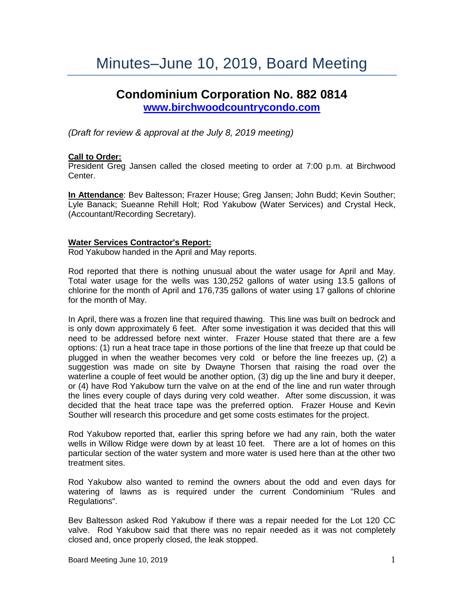# Minutes–June 10, 2019, Board Meeting

# **Condominium Corporation No. 882 0814**

**[www.birchwoodcountrycondo.com](http://www.birchwoodcountrycondo.com/)**

*(Draft for review & approval at the July 8, 2019 meeting)*

# **Call to Order:**

President Greg Jansen called the closed meeting to order at 7:00 p.m. at Birchwood Center.

**In Attendance**: Bev Baltesson; Frazer House; Greg Jansen; John Budd; Kevin Souther; Lyle Banack; Sueanne Rehill Holt; Rod Yakubow (Water Services) and Crystal Heck, (Accountant/Recording Secretary).

### **Water Services Contractor's Report:**

Rod Yakubow handed in the April and May reports.

Rod reported that there is nothing unusual about the water usage for April and May. Total water usage for the wells was 130,252 gallons of water using 13.5 gallons of chlorine for the month of April and 176,735 gallons of water using 17 gallons of chlorine for the month of May.

In April, there was a frozen line that required thawing. This line was built on bedrock and is only down approximately 6 feet. After some investigation it was decided that this will need to be addressed before next winter. Frazer House stated that there are a few options: (1) run a heat trace tape in those portions of the line that freeze up that could be plugged in when the weather becomes very cold or before the line freezes up, (2) a suggestion was made on site by Dwayne Thorsen that raising the road over the waterline a couple of feet would be another option, (3) dig up the line and bury it deeper, or (4) have Rod Yakubow turn the valve on at the end of the line and run water through the lines every couple of days during very cold weather. After some discussion, it was decided that the heat trace tape was the preferred option. Frazer House and Kevin Souther will research this procedure and get some costs estimates for the project.

Rod Yakubow reported that, earlier this spring before we had any rain, both the water wells in Willow Ridge were down by at least 10 feet. There are a lot of homes on this particular section of the water system and more water is used here than at the other two treatment sites.

Rod Yakubow also wanted to remind the owners about the odd and even days for watering of lawns as is required under the current Condominium "Rules and Regulations".

Bev Baltesson asked Rod Yakubow if there was a repair needed for the Lot 120 CC valve. Rod Yakubow said that there was no repair needed as it was not completely closed and, once properly closed, the leak stopped.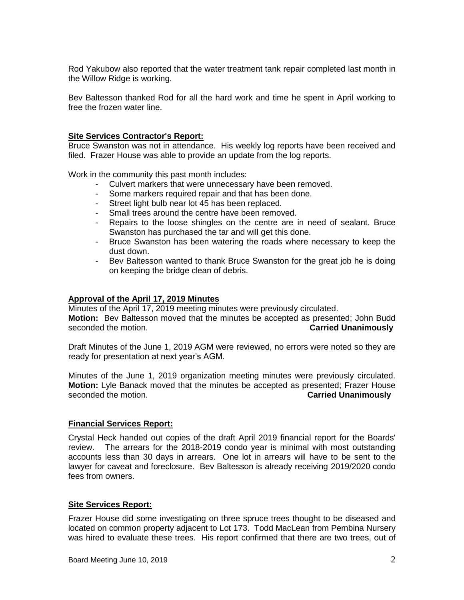Rod Yakubow also reported that the water treatment tank repair completed last month in the Willow Ridge is working.

Bev Baltesson thanked Rod for all the hard work and time he spent in April working to free the frozen water line.

#### **Site Services Contractor's Report:**

Bruce Swanston was not in attendance. His weekly log reports have been received and filed. Frazer House was able to provide an update from the log reports.

Work in the community this past month includes:

- Culvert markers that were unnecessary have been removed.
- Some markers required repair and that has been done.
- Street light bulb near lot 45 has been replaced.
- Small trees around the centre have been removed.
- Repairs to the loose shingles on the centre are in need of sealant. Bruce Swanston has purchased the tar and will get this done.
- Bruce Swanston has been watering the roads where necessary to keep the dust down.
- Bev Baltesson wanted to thank Bruce Swanston for the great job he is doing on keeping the bridge clean of debris.

#### **Approval of the April 17, 2019 Minutes**

Minutes of the April 17, 2019 meeting minutes were previously circulated. **Motion:** Bev Baltesson moved that the minutes be accepted as presented; John Budd seconded the motion. **Carried Unanimously**

Draft Minutes of the June 1, 2019 AGM were reviewed, no errors were noted so they are ready for presentation at next year's AGM.

Minutes of the June 1, 2019 organization meeting minutes were previously circulated. **Motion:** Lyle Banack moved that the minutes be accepted as presented; Frazer House seconded the motion. **Carried Unanimously**

### **Financial Services Report:**

Crystal Heck handed out copies of the draft April 2019 financial report for the Boards' review. The arrears for the 2018-2019 condo year is minimal with most outstanding accounts less than 30 days in arrears. One lot in arrears will have to be sent to the lawyer for caveat and foreclosure. Bev Baltesson is already receiving 2019/2020 condo fees from owners.

### **Site Services Report:**

Frazer House did some investigating on three spruce trees thought to be diseased and located on common property adjacent to Lot 173. Todd MacLean from Pembina Nursery was hired to evaluate these trees. His report confirmed that there are two trees, out of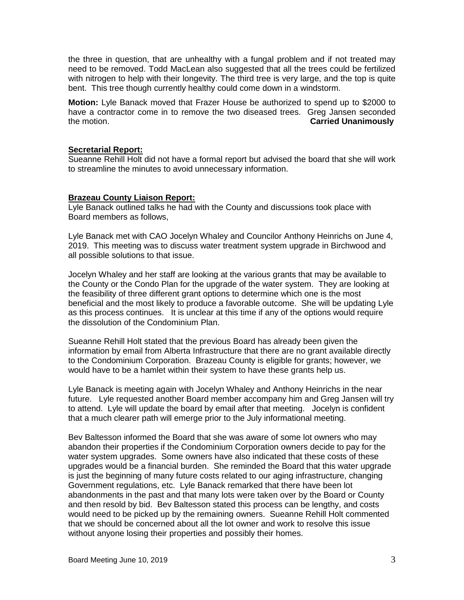the three in question, that are unhealthy with a fungal problem and if not treated may need to be removed. Todd MacLean also suggested that all the trees could be fertilized with nitrogen to help with their longevity. The third tree is very large, and the top is quite bent. This tree though currently healthy could come down in a windstorm.

**Motion:** Lyle Banack moved that Frazer House be authorized to spend up to \$2000 to have a contractor come in to remove the two diseased trees. Greg Jansen seconded the motion. **Carried Unanimously**

# **Secretarial Report:**

Sueanne Rehill Holt did not have a formal report but advised the board that she will work to streamline the minutes to avoid unnecessary information.

# **Brazeau County Liaison Report:**

Lyle Banack outlined talks he had with the County and discussions took place with Board members as follows,

Lyle Banack met with CAO Jocelyn Whaley and Councilor Anthony Heinrichs on June 4, 2019. This meeting was to discuss water treatment system upgrade in Birchwood and all possible solutions to that issue.

Jocelyn Whaley and her staff are looking at the various grants that may be available to the County or the Condo Plan for the upgrade of the water system. They are looking at the feasibility of three different grant options to determine which one is the most beneficial and the most likely to produce a favorable outcome. She will be updating Lyle as this process continues. It is unclear at this time if any of the options would require the dissolution of the Condominium Plan.

Sueanne Rehill Holt stated that the previous Board has already been given the information by email from Alberta Infrastructure that there are no grant available directly to the Condominium Corporation. Brazeau County is eligible for grants; however, we would have to be a hamlet within their system to have these grants help us.

Lyle Banack is meeting again with Jocelyn Whaley and Anthony Heinrichs in the near future. Lyle requested another Board member accompany him and Greg Jansen will try to attend. Lyle will update the board by email after that meeting. Jocelyn is confident that a much clearer path will emerge prior to the July informational meeting.

Bev Baltesson informed the Board that she was aware of some lot owners who may abandon their properties if the Condominium Corporation owners decide to pay for the water system upgrades. Some owners have also indicated that these costs of these upgrades would be a financial burden. She reminded the Board that this water upgrade is just the beginning of many future costs related to our aging infrastructure, changing Government regulations, etc. Lyle Banack remarked that there have been lot abandonments in the past and that many lots were taken over by the Board or County and then resold by bid. Bev Baltesson stated this process can be lengthy, and costs would need to be picked up by the remaining owners. Sueanne Rehill Holt commented that we should be concerned about all the lot owner and work to resolve this issue without anyone losing their properties and possibly their homes.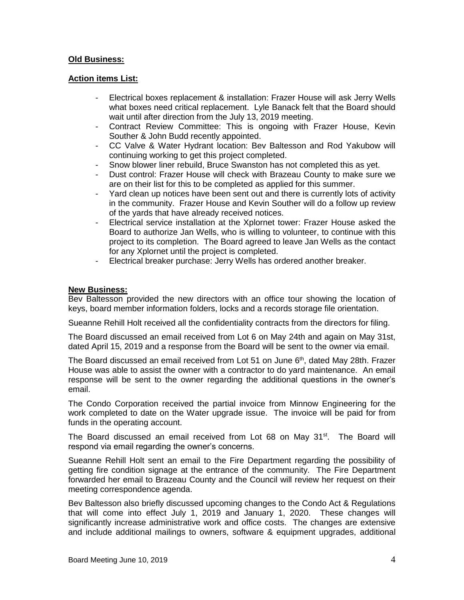# **Old Business:**

### **Action items List:**

- Electrical boxes replacement & installation: Frazer House will ask Jerry Wells what boxes need critical replacement. Lyle Banack felt that the Board should wait until after direction from the July 13, 2019 meeting.
- Contract Review Committee: This is ongoing with Frazer House, Kevin Souther & John Budd recently appointed.
- CC Valve & Water Hydrant location: Bev Baltesson and Rod Yakubow will continuing working to get this project completed.
- Snow blower liner rebuild, Bruce Swanston has not completed this as yet.
- Dust control: Frazer House will check with Brazeau County to make sure we are on their list for this to be completed as applied for this summer.
- Yard clean up notices have been sent out and there is currently lots of activity in the community. Frazer House and Kevin Souther will do a follow up review of the yards that have already received notices.
- Electrical service installation at the Xplornet tower: Frazer House asked the Board to authorize Jan Wells, who is willing to volunteer, to continue with this project to its completion. The Board agreed to leave Jan Wells as the contact for any Xplornet until the project is completed.
- Electrical breaker purchase: Jerry Wells has ordered another breaker.

### **New Business:**

Bev Baltesson provided the new directors with an office tour showing the location of keys, board member information folders, locks and a records storage file orientation.

Sueanne Rehill Holt received all the confidentiality contracts from the directors for filing.

The Board discussed an email received from Lot 6 on May 24th and again on May 31st, dated April 15, 2019 and a response from the Board will be sent to the owner via email.

The Board discussed an email received from Lot 51 on June  $6<sup>th</sup>$ , dated May 28th. Frazer House was able to assist the owner with a contractor to do yard maintenance. An email response will be sent to the owner regarding the additional questions in the owner's email.

The Condo Corporation received the partial invoice from Minnow Engineering for the work completed to date on the Water upgrade issue. The invoice will be paid for from funds in the operating account.

The Board discussed an email received from Lot 68 on May 31<sup>st</sup>. The Board will respond via email regarding the owner's concerns.

Sueanne Rehill Holt sent an email to the Fire Department regarding the possibility of getting fire condition signage at the entrance of the community. The Fire Department forwarded her email to Brazeau County and the Council will review her request on their meeting correspondence agenda.

Bev Baltesson also briefly discussed upcoming changes to the Condo Act & Regulations that will come into effect July 1, 2019 and January 1, 2020. These changes will significantly increase administrative work and office costs. The changes are extensive and include additional mailings to owners, software & equipment upgrades, additional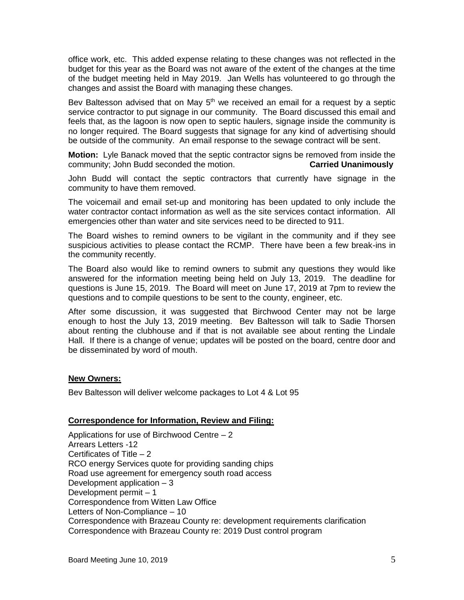office work, etc. This added expense relating to these changes was not reflected in the budget for this year as the Board was not aware of the extent of the changes at the time of the budget meeting held in May 2019. Jan Wells has volunteered to go through the changes and assist the Board with managing these changes.

Bev Baltesson advised that on May  $5<sup>th</sup>$  we received an email for a request by a septic service contractor to put signage in our community. The Board discussed this email and feels that, as the lagoon is now open to septic haulers, signage inside the community is no longer required. The Board suggests that signage for any kind of advertising should be outside of the community. An email response to the sewage contract will be sent.

**Motion:** Lyle Banack moved that the septic contractor signs be removed from inside the community; John Budd seconded the motion. **Carried Unanimously**

John Budd will contact the septic contractors that currently have signage in the community to have them removed.

The voicemail and email set-up and monitoring has been updated to only include the water contractor contact information as well as the site services contact information. All emergencies other than water and site services need to be directed to 911.

The Board wishes to remind owners to be vigilant in the community and if they see suspicious activities to please contact the RCMP. There have been a few break-ins in the community recently.

The Board also would like to remind owners to submit any questions they would like answered for the information meeting being held on July 13, 2019. The deadline for questions is June 15, 2019. The Board will meet on June 17, 2019 at 7pm to review the questions and to compile questions to be sent to the county, engineer, etc.

After some discussion, it was suggested that Birchwood Center may not be large enough to host the July 13, 2019 meeting. Bev Baltesson will talk to Sadie Thorsen about renting the clubhouse and if that is not available see about renting the Lindale Hall. If there is a change of venue; updates will be posted on the board, centre door and be disseminated by word of mouth.

### **New Owners:**

Bev Baltesson will deliver welcome packages to Lot 4 & Lot 95

# **Correspondence for Information, Review and Filing:**

Applications for use of Birchwood Centre – 2 Arrears Letters -12 Certificates of Title – 2 RCO energy Services quote for providing sanding chips Road use agreement for emergency south road access Development application  $-3$ Development permit – 1 Correspondence from Witten Law Office Letters of Non-Compliance – 10 Correspondence with Brazeau County re: development requirements clarification Correspondence with Brazeau County re: 2019 Dust control program